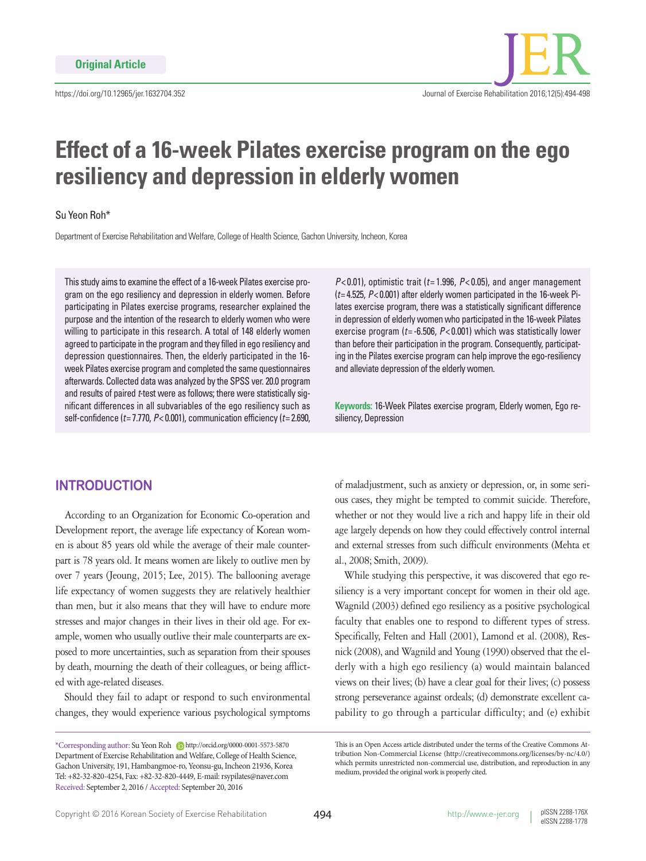

# **Effect of a 16-week Pilates exercise program on the ego resiliency and depression in elderly women**

## Su Yeon Roh\*

Department of Exercise Rehabilitation and Welfare, College of Health Science, Gachon University, Incheon, Korea

This study aims to examine the effect of a 16-week Pilates exercise program on the ego resiliency and depression in elderly women. Before participating in Pilates exercise programs, researcher explained the purpose and the intention of the research to elderly women who were willing to participate in this research. A total of 148 elderly women agreed to participate in the program and they filled in ego resiliency and depression questionnaires. Then, the elderly participated in the 16 week Pilates exercise program and completed the same questionnaires afterwards. Collected data was analyzed by the SPSS ver. 20.0 program and results of paired *t*-test were as follows; there were statistically significant differences in all subvariables of the ego resiliency such as self-confidence (*t*= 7.770, *P*< 0.001), communication efficiency (*t*= 2.690,

 $P$ <0.01), optimistic trait ( $t$ =1.996,  $P$ <0.05), and anger management (*t*= 4.525, *P*< 0.001) after elderly women participated in the 16-week Pilates exercise program, there was a statistically significant difference in depression of elderly women who participated in the 16-week Pilates exercise program (*t*= -6.506, *P*< 0.001) which was statistically lower than before their participation in the program. Consequently, participating in the Pilates exercise program can help improve the ego-resiliency and alleviate depression of the elderly women.

**Keywords:** 16-Week Pilates exercise program, Elderly women, Ego resiliency, Depression

# **INTRODUCTION**

According to an Organization for Economic Co-operation and Development report, the average life expectancy of Korean women is about 85 years old while the average of their male counterpart is 78 years old. It means women are likely to outlive men by over 7 years (Jeoung, 2015; Lee, 2015). The ballooning average life expectancy of women suggests they are relatively healthier than men, but it also means that they will have to endure more stresses and major changes in their lives in their old age. For example, women who usually outlive their male counterparts are exposed to more uncertainties, such as separation from their spouses by death, mourning the death of their colleagues, or being afflicted with age-related diseases.

Should they fail to adapt or respond to such environmental changes, they would experience various psychological symptoms of maladjustment, such as anxiety or depression, or, in some serious cases, they might be tempted to commit suicide. Therefore, whether or not they would live a rich and happy life in their old age largely depends on how they could effectively control internal and external stresses from such difficult environments (Mehta et al., 2008; Smith, 2009).

While studying this perspective, it was discovered that ego resiliency is a very important concept for women in their old age. Wagnild (2003) defined ego resiliency as a positive psychological faculty that enables one to respond to different types of stress. Specifically, Felten and Hall (2001), Lamond et al. (2008), Resnick (2008), and Wagnild and Young (1990) observed that the elderly with a high ego resiliency (a) would maintain balanced views on their lives; (b) have a clear goal for their lives; (c) possess strong perseverance against ordeals; (d) demonstrate excellent capability to go through a particular difficulty; and (e) exhibit

<sup>\*</sup>Corresponding author: Su Yeon Roh http://orcid.org/0000-0001-5573-5870 Department of Exercise Rehabilitation and Welfare, College of Health Science, Gachon University, 191, Hambangmoe-ro, Yeonsu-gu, Incheon 21936, Korea Tel: +82-32-820-4254, Fax: +82-32-820-4449, E-mail: rsypilates@naver.com Received: September 2, 2016 / Accepted: September 20, 2016

This is an Open Access article distributed under the terms of the Creative Commons Attribution Non-Commercial License (http://creativecommons.org/licenses/by-nc/4.0/) which permits unrestricted non-commercial use, distribution, and reproduction in any medium, provided the original work is properly cited.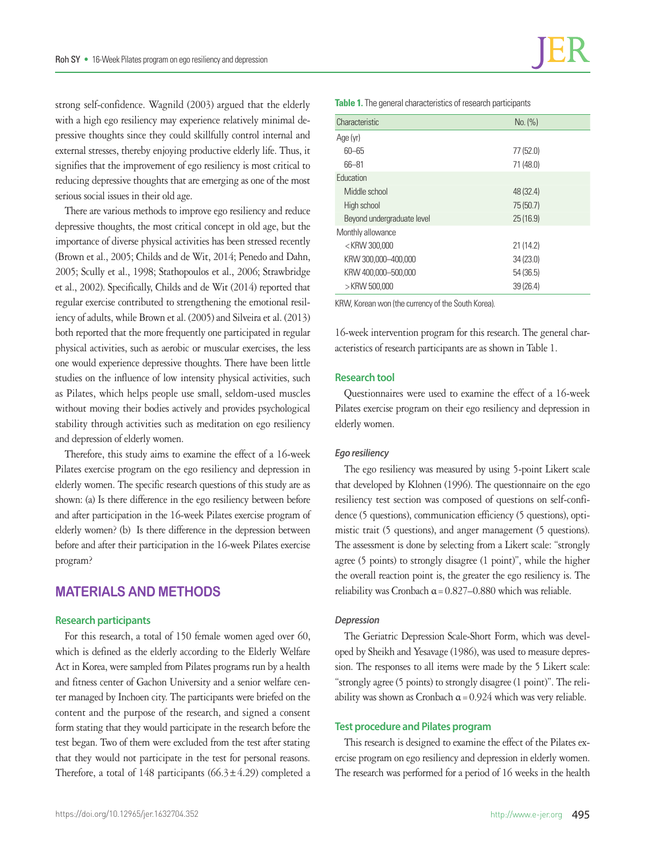strong self-confidence. Wagnild (2003) argued that the elderly with a high ego resiliency may experience relatively minimal depressive thoughts since they could skillfully control internal and external stresses, thereby enjoying productive elderly life. Thus, it signifies that the improvement of ego resiliency is most critical to reducing depressive thoughts that are emerging as one of the most serious social issues in their old age.

There are various methods to improve ego resiliency and reduce depressive thoughts, the most critical concept in old age, but the importance of diverse physical activities has been stressed recently (Brown et al., 2005; Childs and de Wit, 2014; Penedo and Dahn, 2005; Scully et al., 1998; Stathopoulos et al., 2006; Strawbridge et al., 2002). Specifically, Childs and de Wit (2014) reported that regular exercise contributed to strengthening the emotional resiliency of adults, while Brown et al. (2005) and Silveira et al. (2013) both reported that the more frequently one participated in regular physical activities, such as aerobic or muscular exercises, the less one would experience depressive thoughts. There have been little studies on the influence of low intensity physical activities, such as Pilates, which helps people use small, seldom-used muscles without moving their bodies actively and provides psychological stability through activities such as meditation on ego resiliency and depression of elderly women.

Therefore, this study aims to examine the effect of a 16-week Pilates exercise program on the ego resiliency and depression in elderly women. The specific research questions of this study are as shown: (a) Is there difference in the ego resiliency between before and after participation in the 16-week Pilates exercise program of elderly women? (b) Is there difference in the depression between before and after their participation in the 16-week Pilates exercise program?

# **MATERIALS AND METHODS**

#### **Research participants**

For this research, a total of 150 female women aged over 60, which is defined as the elderly according to the Elderly Welfare Act in Korea, were sampled from Pilates programs run by a health and fitness center of Gachon University and a senior welfare center managed by Inchoen city. The participants were briefed on the content and the purpose of the research, and signed a consent form stating that they would participate in the research before the test began. Two of them were excluded from the test after stating that they would not participate in the test for personal reasons. Therefore, a total of 148 participants ( $66.3 \pm 4.29$ ) completed a

**Table 1.** The general characteristics of research participants

| Characteristic             | No. (%)   |  |
|----------------------------|-----------|--|
| Age (yr)                   |           |  |
| $60 - 65$                  | 77 (52.0) |  |
| 66-81                      | 71 (48.0) |  |
| Education                  |           |  |
| Middle school              | 48 (32.4) |  |
| High school                | 75 (50.7) |  |
| Beyond undergraduate level | 25(16.9)  |  |
| Monthly allowance          |           |  |
| $<$ KRW 300,000            | 21(14.2)  |  |
| KRW 300,000-400,000        | 34(23.0)  |  |
| KRW 400,000-500,000        | 54(36.5)  |  |
| > KRW 500,000              | 39(26.4)  |  |
|                            |           |  |

KRW, Korean won (the currency of the South Korea).

16-week intervention program for this research. The general characteristics of research participants are as shown in Table 1.

#### **Research tool**

Questionnaires were used to examine the effect of a 16-week Pilates exercise program on their ego resiliency and depression in elderly women.

#### *Ego resiliency*

The ego resiliency was measured by using 5-point Likert scale that developed by Klohnen (1996). The questionnaire on the ego resiliency test section was composed of questions on self-confidence (5 questions), communication efficiency (5 questions), optimistic trait (5 questions), and anger management (5 questions). The assessment is done by selecting from a Likert scale: "strongly agree (5 points) to strongly disagree (1 point)", while the higher the overall reaction point is, the greater the ego resiliency is. The reliability was Cronbach  $\alpha$  = 0.827–0.880 which was reliable.

#### *Depression*

The Geriatric Depression Scale-Short Form, which was developed by Sheikh and Yesavage (1986), was used to measure depression. The responses to all items were made by the 5 Likert scale: "strongly agree (5 points) to strongly disagree (1 point)". The reliability was shown as Cronbach  $\alpha$  = 0.924 which was very reliable.

#### **Test procedure and Pilates program**

This research is designed to examine the effect of the Pilates exercise program on ego resiliency and depression in elderly women. The research was performed for a period of 16 weeks in the health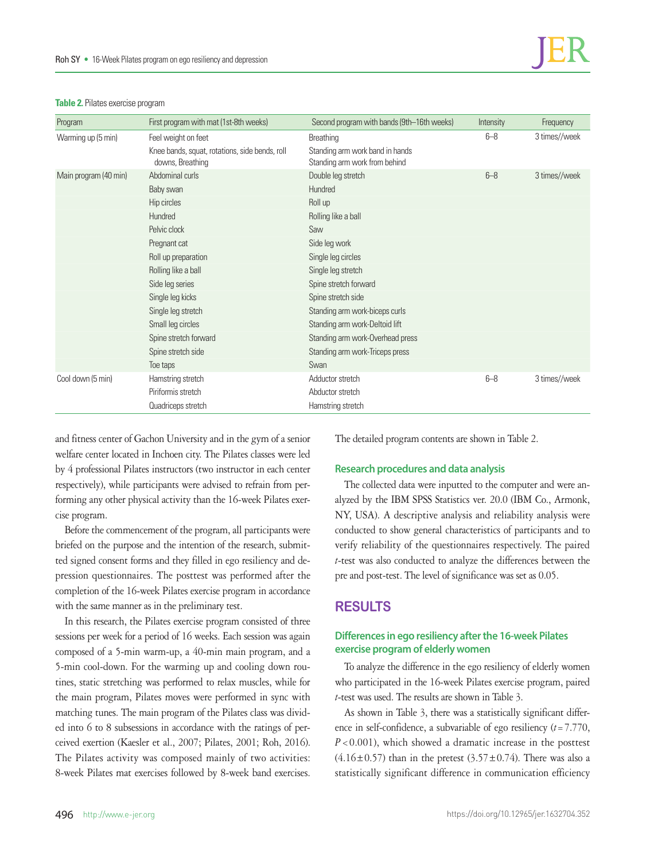| Program               | First program with mat (1st-8th weeks)                             | Second program with bands (9th-16th weeks)                       | Intensity | Frequency     |
|-----------------------|--------------------------------------------------------------------|------------------------------------------------------------------|-----------|---------------|
| Warming up (5 min)    | Feel weight on feet                                                | Breathing                                                        | $6 - 8$   | 3 times//week |
|                       | Knee bands, squat, rotations, side bends, roll<br>downs, Breathing | Standing arm work band in hands<br>Standing arm work from behind |           |               |
| Main program (40 min) | Abdominal curls                                                    | Double leg stretch                                               | $6 - 8$   | 3 times//week |
|                       | Baby swan                                                          | Hundred                                                          |           |               |
|                       | Hip circles                                                        | Roll up                                                          |           |               |
|                       | Hundred                                                            | Rolling like a ball                                              |           |               |
|                       | Pelvic clock                                                       | Saw                                                              |           |               |
|                       | Pregnant cat                                                       | Side leg work                                                    |           |               |
|                       | Roll up preparation                                                | Single leg circles                                               |           |               |
|                       | Rolling like a ball                                                | Single leg stretch                                               |           |               |
|                       | Side leg series                                                    | Spine stretch forward                                            |           |               |
|                       | Single leg kicks                                                   | Spine stretch side                                               |           |               |
|                       | Single leg stretch                                                 | Standing arm work-biceps curls                                   |           |               |
|                       | Small leg circles                                                  | Standing arm work-Deltoid lift                                   |           |               |
|                       | Spine stretch forward                                              | Standing arm work-Overhead press                                 |           |               |
|                       | Spine stretch side                                                 | Standing arm work-Triceps press                                  |           |               |
|                       | Toe taps                                                           | Swan                                                             |           |               |
| Cool down (5 min)     | Hamstring stretch                                                  | Adductor stretch                                                 | $6 - 8$   | 3 times//week |
|                       | Piriformis stretch                                                 | Abductor stretch                                                 |           |               |
|                       | Quadriceps stretch                                                 | Hamstring stretch                                                |           |               |

#### **Table 2.** Pilates exercise program

and fitness center of Gachon University and in the gym of a senior welfare center located in Inchoen city. The Pilates classes were led by 4 professional Pilates instructors (two instructor in each center respectively), while participants were advised to refrain from performing any other physical activity than the 16-week Pilates exercise program.

Before the commencement of the program, all participants were briefed on the purpose and the intention of the research, submitted signed consent forms and they filled in ego resiliency and depression questionnaires. The posttest was performed after the completion of the 16-week Pilates exercise program in accordance with the same manner as in the preliminary test.

In this research, the Pilates exercise program consisted of three sessions per week for a period of 16 weeks. Each session was again composed of a 5-min warm-up, a 40-min main program, and a 5-min cool-down. For the warming up and cooling down routines, static stretching was performed to relax muscles, while for the main program, Pilates moves were performed in sync with matching tunes. The main program of the Pilates class was divided into 6 to 8 subsessions in accordance with the ratings of perceived exertion (Kaesler et al., 2007; Pilates, 2001; Roh, 2016). The Pilates activity was composed mainly of two activities: 8-week Pilates mat exercises followed by 8-week band exercises.

The detailed program contents are shown in Table 2.

## **Research procedures and data analysis**

The collected data were inputted to the computer and were analyzed by the IBM SPSS Statistics ver. 20.0 (IBM Co., Armonk, NY, USA). A descriptive analysis and reliability analysis were conducted to show general characteristics of participants and to verify reliability of the questionnaires respectively. The paired *t*-test was also conducted to analyze the differences between the pre and post-test. The level of significance was set as 0.05.

# **RESULTS**

## **Differences in ego resiliency after the 16-week Pilates exercise program of elderly women**

To analyze the difference in the ego resiliency of elderly women who participated in the 16-week Pilates exercise program, paired *t*-test was used. The results are shown in Table 3.

As shown in Table 3, there was a statistically significant difference in self-confidence, a subvariable of ego resiliency (*t*=7.770, *P*<0.001), which showed a dramatic increase in the posttest  $(4.16\pm0.57)$  than in the pretest  $(3.57\pm0.74)$ . There was also a statistically significant difference in communication efficiency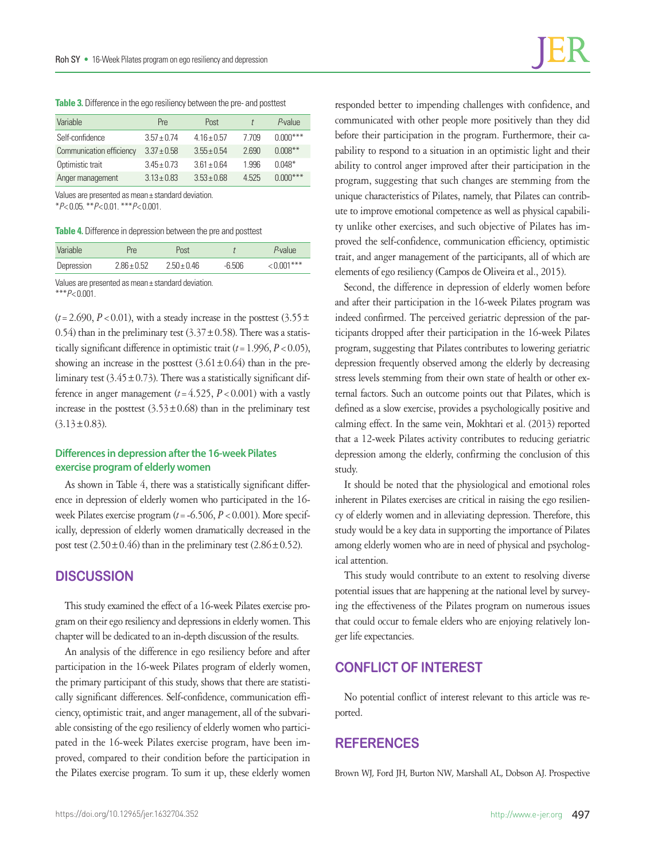**Table 3.** Difference in the ego resiliency between the pre- and posttest

| Variable                 | <b>Pre</b>      | Post            |       | P-value    |
|--------------------------|-----------------|-----------------|-------|------------|
| Self-confidence          | $3.57 + 0.74$   | $4.16 \pm 0.57$ | 7709  | $0.000***$ |
| Communication efficiency | $3.37 \pm 0.58$ | $3.55 \pm 0.54$ | 2.690 | $0.008**$  |
| Optimistic trait         | $3.45 \pm 0.73$ | $361 + 064$     | 1996  | $0.048*$   |
| Anger management         | $3.13 \pm 0.83$ | $3.53 \pm 0.68$ | 4525  | $0.000***$ |

Values are presented as mean± standard deviation.

\**P*< 0.05. \*\**P*< 0.01. \*\*\**P*< 0.001.

**Table 4.** Difference in depression between the pre and posttest

| Variable   | Pre-          | Post            |          | P-value     |
|------------|---------------|-----------------|----------|-------------|
| Depression | $2.86 + 0.52$ | $2.50 \pm 0.46$ | $-6.506$ | $<0.001***$ |
|            |               |                 |          |             |

Values are presented as mean± standard deviation. \*\*\**P*< 0.001.

 $(t=2.690, P<0.01)$ , with a steady increase in the posttest (3.55 $\pm$ 0.54) than in the preliminary test  $(3.37 \pm 0.58)$ . There was a statistically significant difference in optimistic trait  $(t=1.996, P<0.05)$ , showing an increase in the posttest  $(3.61 \pm 0.64)$  than in the preliminary test  $(3.45 \pm 0.73)$ . There was a statistically significant difference in anger management  $(t=4.525, P<0.001)$  with a vastly increase in the posttest  $(3.53 \pm 0.68)$  than in the preliminary test  $(3.13 \pm 0.83)$ .

## **Differences in depression after the 16-week Pilates exercise program of elderly women**

As shown in Table 4, there was a statistically significant difference in depression of elderly women who participated in the 16 week Pilates exercise program  $(t = -6.506, P < 0.001)$ . More specifically, depression of elderly women dramatically decreased in the post test  $(2.50 \pm 0.46)$  than in the preliminary test  $(2.86 \pm 0.52)$ .

## **DISCUSSION**

This study examined the effect of a 16-week Pilates exercise program on their ego resiliency and depressions in elderly women. This chapter will be dedicated to an in-depth discussion of the results.

An analysis of the difference in ego resiliency before and after participation in the 16-week Pilates program of elderly women, the primary participant of this study, shows that there are statistically significant differences. Self-confidence, communication efficiency, optimistic trait, and anger management, all of the subvariable consisting of the ego resiliency of elderly women who participated in the 16-week Pilates exercise program, have been improved, compared to their condition before the participation in the Pilates exercise program. To sum it up, these elderly women

responded better to impending challenges with confidence, and communicated with other people more positively than they did before their participation in the program. Furthermore, their capability to respond to a situation in an optimistic light and their ability to control anger improved after their participation in the program, suggesting that such changes are stemming from the unique characteristics of Pilates, namely, that Pilates can contribute to improve emotional competence as well as physical capability unlike other exercises, and such objective of Pilates has improved the self-confidence, communication efficiency, optimistic trait, and anger management of the participants, all of which are elements of ego resiliency (Campos de Oliveira et al., 2015).

Second, the difference in depression of elderly women before and after their participation in the 16-week Pilates program was indeed confirmed. The perceived geriatric depression of the participants dropped after their participation in the 16-week Pilates program, suggesting that Pilates contributes to lowering geriatric depression frequently observed among the elderly by decreasing stress levels stemming from their own state of health or other external factors. Such an outcome points out that Pilates, which is defined as a slow exercise, provides a psychologically positive and calming effect. In the same vein, Mokhtari et al. (2013) reported that a 12-week Pilates activity contributes to reducing geriatric depression among the elderly, confirming the conclusion of this study.

It should be noted that the physiological and emotional roles inherent in Pilates exercises are critical in raising the ego resiliency of elderly women and in alleviating depression. Therefore, this study would be a key data in supporting the importance of Pilates among elderly women who are in need of physical and psychological attention.

This study would contribute to an extent to resolving diverse potential issues that are happening at the national level by surveying the effectiveness of the Pilates program on numerous issues that could occur to female elders who are enjoying relatively longer life expectancies.

# **CONFLICT OF INTEREST**

No potential conflict of interest relevant to this article was reported.

# **REFERENCES**

Brown WJ, Ford JH, Burton NW, Marshall AL, Dobson AJ. Prospective